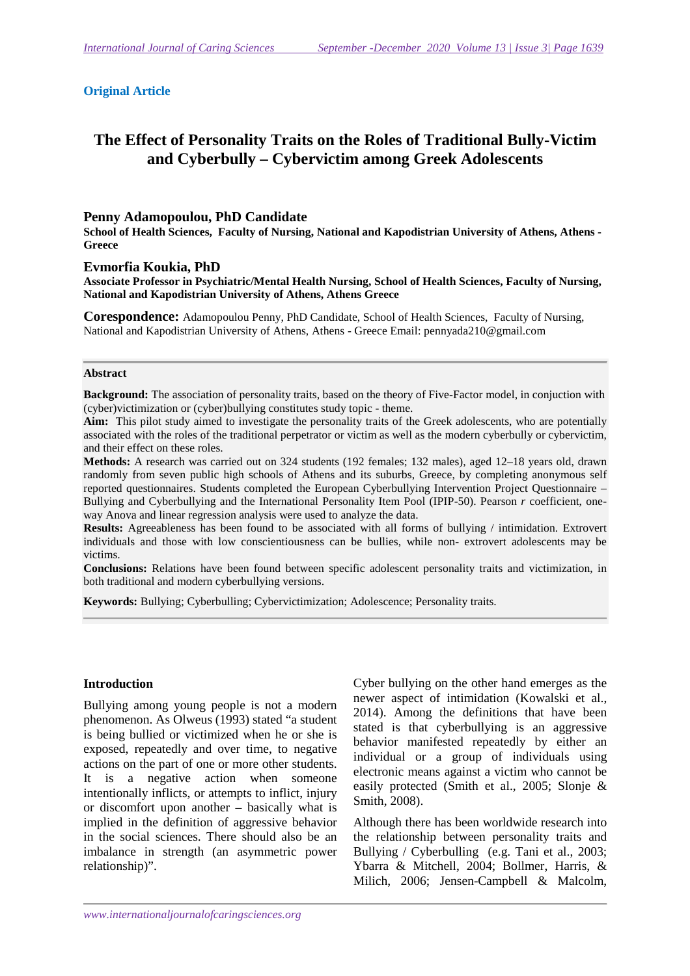### **Original Article**

# **The Effect of Personality Traits on the Roles of Traditional Bully-Victim and Cyberbully – Cybervictim among Greek Adolescents**

#### **Penny Adamopoulou, PhD Candidate**

**School of Health Sciences, Faculty of Nursing, National and Kapodistrian University of Athens, Athens - Greece** 

**Evmorfia Koukia, PhD** 

**Associate Professor in Psychiatric/Mental Health Nursing, School of Health Sciences, Faculty of Nursing, National and Kapodistrian University of Athens, Athens Greece** 

**Corespondence:** Adamopoulou Penny, PhD Candidate, School of Health Sciences, Faculty of Nursing, National and Kapodistrian University of Athens, Athens - Greece Email: pennyada210@gmail.com

#### **Abstract**

**Background:** The association of personality traits, based on the theory of Five-Factor model, in conjuction with (cyber)victimization or (cyber)bullying constitutes study topic - theme.

**Aim:** This pilot study aimed to investigate the personality traits of the Greek adolescents, who are potentially associated with the roles of the traditional perpetrator or victim as well as the modern cyberbully or cybervictim, and their effect on these roles.

**Methods:** A research was carried out on 324 students (192 females; 132 males), aged 12–18 years old, drawn randomly from seven public high schools of Athens and its suburbs, Greece, by completing anonymous self reported questionnaires. Students completed the European Cyberbullying Intervention Project Questionnaire – Bullying and Cyberbullying and the International Personality Item Pool (IPIP-50). Pearson *r* coefficient, oneway Anova and linear regression analysis were used to analyze the data.

**Results:** Agreeableness has been found to be associated with all forms of bullying / intimidation. Extrovert individuals and those with low conscientiousness can be bullies, while non- extrovert adolescents may be victims.

**Conclusions:** Relations have been found between specific adolescent personality traits and victimization, in both traditional and modern cyberbullying versions.

**Keywords:** Bullying; Cyberbulling; Cybervictimization; Adolescence; Personality traits.

#### **Introduction**

Bullying among young people is not a modern phenomenon. As Olweus (1993) stated "a student is being bullied or victimized when he or she is exposed, repeatedly and over time, to negative actions on the part of one or more other students. It is a negative action when someone intentionally inflicts, or attempts to inflict, injury or discomfort upon another – basically what is implied in the definition of aggressive behavior in the social sciences. There should also be an imbalance in strength (an asymmetric power relationship)".

Cyber bullying on the other hand emerges as the newer aspect of intimidation (Kowalski et al., 2014). Among the definitions that have been stated is that cyberbullying is an aggressive behavior manifested repeatedly by either an individual or a group of individuals using electronic means against a victim who cannot be easily protected (Smith et al., 2005; Slonje & Smith, 2008).

Although there has been worldwide research into the relationship between personality traits and Bullying / Cyberbulling (e.g. Tani et al., 2003; Ybarra & Mitchell, 2004; Bollmer, Harris, & Milich, 2006; Jensen-Campbell & Malcolm,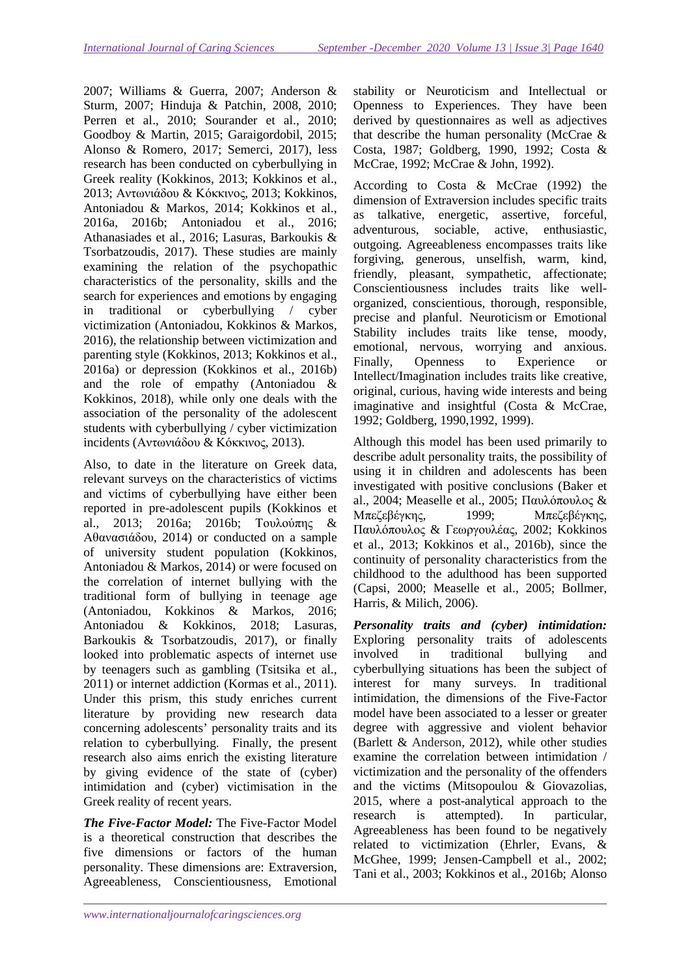2007; Williams & Guerra, 2007; Anderson & Sturm, 2007; Hinduja & Patchin, 2008, 2010; Perren et al., 2010; Sourander et al., 2010; Goodboy & Martin, 2015; Garaigordobil, 2015; Alonso & Romero, 2017; Semerci, 2017), less research has been conducted on cyberbullying in Greek reality (Kokkinos, 2013; Kokkinos et al., 2013; Αντωνιάδου & Κόκκινος, 2013; Kokkinos, Antoniadou & Markos, 2014; Kokkinos et al., 2016a, 2016b; Antoniadou et al., 2016; Athanasiades et al., 2016; Lasuras, Barkoukis & Tsorbatzoudis, 2017). These studies are mainly examining the relation of the psychopathic characteristics of the personality, skills and the search for experiences and emotions by engaging in traditional or cyberbullying / cyber victimization (Antoniadou, Kokkinos & Markos, 2016), the relationship between victimization and parenting style (Kokkinos, 2013; Kokkinos et al., 2016a) or depression (Kokkinos et al., 2016b) and the role of empathy (Antoniadou & Kokkinos, 2018), while only one deals with the association of the personality of the adolescent students with cyberbullying / cyber victimization incidents (Αντωνιάδου & Κόκκινος, 2013).

Also, to date in the literature on Greek data, relevant surveys on the characteristics of victims and victims of cyberbullying have either been reported in pre-adolescent pupils (Kokkinos et al., 2013; 2016a; 2016b; Τουλούπης & Αθανασιάδου, 2014) or conducted on a sample of university student population (Kokkinos, Antoniadou & Markos, 2014) or were focused on the correlation of internet bullying with the traditional form of bullying in teenage age (Antoniadou, Kokkinos & Markos, 2016; Antoniadou & Kokkinos, 2018; Lasuras, Barkoukis & Tsorbatzoudis, 2017), or finally looked into problematic aspects of internet use by teenagers such as gambling (Tsitsika et al., 2011) or internet addiction (Kormas et al., 2011). Under this prism, this study enriches current literature by providing new research data concerning adolescents' personality traits and its relation to cyberbullying. Finally, the present research also aims enrich the existing literature by giving evidence of the state of (cyber) intimidation and (cyber) victimisation in the Greek reality of recent years.

*The Five-Factor Model:* The Five-Factor Model is a theoretical construction that describes the five dimensions or factors of the human personality. These dimensions are: Extraversion, Agreeableness, Conscientiousness, Emotional stability or Neuroticism and Intellectual or Openness to Experiences. They have been derived by questionnaires as well as adjectives that describe the human personality (McCrae & Costa, 1987; Goldberg, 1990, 1992; Costa & McCrae, 1992; McCrae & John, 1992).

According to Costa & McCrae (1992) the dimension of Extraversion includes specific traits as talkative, energetic, assertive, forceful, adventurous, sociable, active, enthusiastic, outgoing. Agreeableness encompasses traits like forgiving, generous, unselfish, warm, kind, friendly, pleasant, sympathetic, affectionate; Conscientiousness includes traits like wellorganized, conscientious, thorough, responsible, precise and planful. Neuroticism or Emotional Stability includes traits like tense, moody, emotional, nervous, worrying and anxious. Finally, Openness to Experience or Intellect/Imagination includes traits like creative, original, curious, having wide interests and being imaginative and insightful (Costa & McCrae, 1992; Goldberg, 1990,1992, 1999).

Although this model has been used primarily to describe adult personality traits, the possibility of using it in children and adolescents has been investigated with positive conclusions (Baker et al., 2004; Measelle et al., 2005; Παυλόπουλος & Μπεζεβέγκης, 1999; Μπεζεβέγκης, Παυλόπουλος & Γεωργουλέας, 2002; Kokkinos et al., 2013; Kokkinos et al., 2016b), since the continuity of personality characteristics from the childhood to the adulthood has been supported (Capsi, 2000; Measelle et al., 2005; Bollmer, Harris, & Milich, 2006).

*Personality traits and (cyber) intimidation:*  Exploring personality traits of adolescents involved in traditional bullying and cyberbullying situations has been the subject of interest for many surveys. In traditional intimidation, the dimensions of the Five-Factor model have been associated to a lesser or greater degree with aggressive and violent behavior (Barlett & Anderson, 2012), while other studies examine the correlation between intimidation / victimization and the personality of the offenders and the victims (Mitsopoulou & Giovazolias, 2015, where a post-analytical approach to the research is attempted). In particular, Agreeableness has been found to be negatively related to victimization (Ehrler, Evans, & McGhee, 1999; Jensen-Campbell et al., 2002; Tani et al., 2003; Kokkinos et al., 2016b; Alonso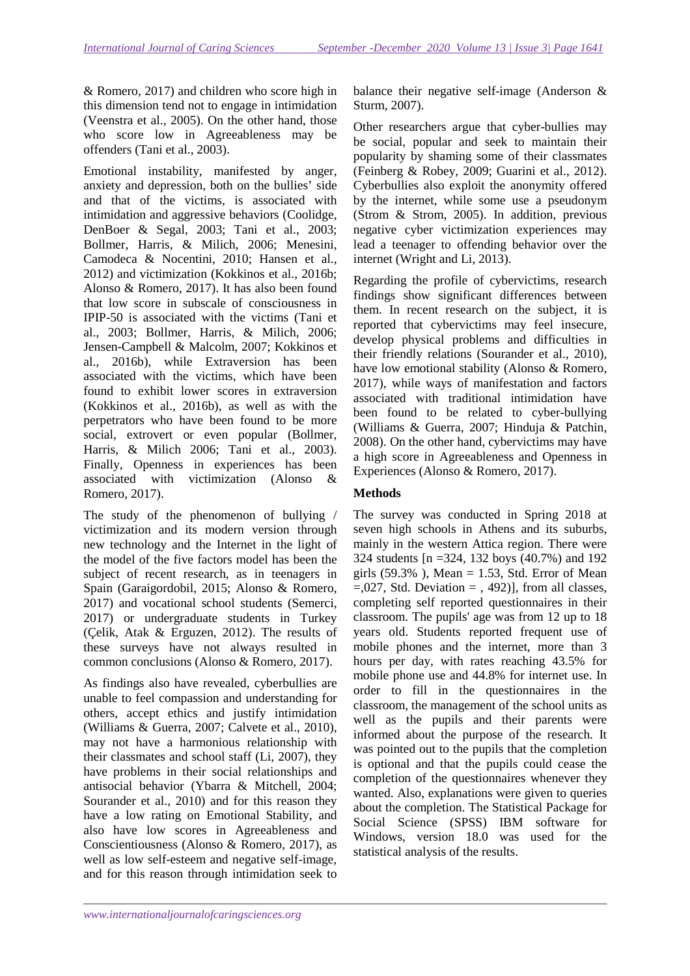& Romero, 2017) and children who score high in this dimension tend not to engage in intimidation (Veenstra et al., 2005). On the other hand, those who score low in Agreeableness may be offenders (Tani et al., 2003).

Emotional instability, manifested by anger, anxiety and depression, both on the bullies' side and that of the victims, is associated with intimidation and aggressive behaviors (Coolidge, DenBoer & Segal, 2003; Tani et al., 2003; Bollmer, Harris, & Milich, 2006; Menesini, Camodeca & Nocentini, 2010; Hansen et al., 2012) and victimization (Kokkinos et al., 2016b; Alonso & Romero, 2017). It has also been found that low score in subscale of consciousness in IPIP-50 is associated with the victims (Tani et al., 2003; Bollmer, Harris, & Milich, 2006; Jensen-Campbell & Malcolm, 2007; Kokkinos et al., 2016b), while Extraversion has been associated with the victims, which have been found to exhibit lower scores in extraversion (Kokkinos et al., 2016b), as well as with the perpetrators who have been found to be more social, extrovert or even popular (Bollmer, Harris, & Milich 2006; Tani et al., 2003). Finally, Openness in experiences has been associated with victimization (Alonso & Romero, 2017).

The study of the phenomenon of bullying / victimization and its modern version through new technology and the Internet in the light of the model of the five factors model has been the subject of recent research, as in teenagers in Spain (Garaigordobil, 2015; Alonso & Romero, 2017) and vocational school students (Semerci, 2017) or undergraduate students in Turkey (Çelik, Atak & Erguzen, 2012). The results of these surveys have not always resulted in common conclusions (Alonso & Romero, 2017).

As findings also have revealed, cyberbullies are unable to feel compassion and understanding for others, accept ethics and justify intimidation (Williams & Guerra, 2007; Calvete et al., 2010), may not have a harmonious relationship with their classmates and school staff (Li, 2007), they have problems in their social relationships and antisocial behavior (Ybarra & Mitchell, 2004; Sourander et al., 2010) and for this reason they have a low rating on Emotional Stability, and also have low scores in Agreeableness and Conscientiousness (Alonso & Romero, 2017), as well as low self-esteem and negative self-image, and for this reason through intimidation seek to

balance their negative self-image (Anderson & Sturm, 2007).

Other researchers argue that cyber-bullies may be social, popular and seek to maintain their popularity by shaming some of their classmates (Feinberg & Robey, 2009; Guarini et al., 2012). Cyberbullies also exploit the anonymity offered by the internet, while some use a pseudonym (Strom & Strom, 2005). In addition, previous negative cyber victimization experiences may lead a teenager to offending behavior over the internet (Wright and Li, 2013).

Regarding the profile of cybervictims, research findings show significant differences between them. In recent research on the subject, it is reported that cybervictims may feel insecure, develop physical problems and difficulties in their friendly relations (Sourander et al., 2010), have low emotional stability (Alonso & Romero, 2017), while ways of manifestation and factors associated with traditional intimidation have been found to be related to cyber-bullying (Williams & Guerra, 2007; Hinduja & Patchin, 2008). On the other hand, cybervictims may have a high score in Agreeableness and Openness in Experiences (Alonso & Romero, 2017).

## **Methods**

The survey was conducted in Spring 2018 at seven high schools in Athens and its suburbs, mainly in the western Attica region. There were 324 students [n =324, 132 boys (40.7%) and 192 girls  $(59.3\%)$ , Mean = 1.53, Std. Error of Mean  $=0.027$ , Std. Deviation  $=$  , 492)], from all classes, completing self reported questionnaires in their classroom. The pupils' age was from 12 up to 18 years old. Students reported frequent use of mobile phones and the internet, more than 3 hours per day, with rates reaching 43.5% for mobile phone use and 44.8% for internet use. In order to fill in the questionnaires in the classroom, the management of the school units as well as the pupils and their parents were informed about the purpose of the research. It was pointed out to the pupils that the completion is optional and that the pupils could cease the completion of the questionnaires whenever they wanted. Also, explanations were given to queries about the completion. The Statistical Package for Social Science (SPSS) IBM software for Windows, version 18.0 was used for the statistical analysis of the results.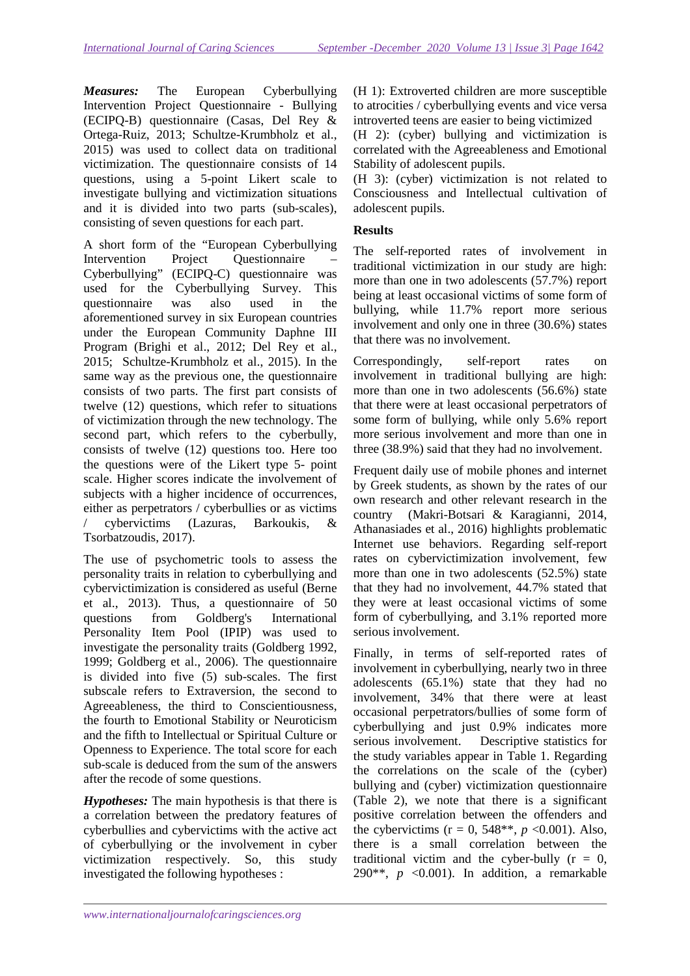*Measures:* The European Cyberbullying Intervention Project Questionnaire - Bullying (ECIPQ-B) questionnaire (Casas, Del Rey & Ortega-Ruiz, 2013; Schultze-Krumbholz et al., 2015) was used to collect data on traditional victimization. The questionnaire consists of 14 questions, using a 5-point Likert scale to investigate bullying and victimization situations and it is divided into two parts (sub-scales), consisting of seven questions for each part.

A short form of the "European Cyberbullying Intervention Project Questionnaire – Cyberbullying" (ECIPQ-C) questionnaire was used for the Cyberbullying Survey. This questionnaire was also used in the aforementioned survey in six European countries under the European Community Daphne III Program (Brighi et al., 2012; Del Rey et al., 2015; Schultze-Krumbholz et al., 2015). In the same way as the previous one, the questionnaire consists of two parts. The first part consists of twelve (12) questions, which refer to situations of victimization through the new technology. The second part, which refers to the cyberbully, consists of twelve (12) questions too. Here too the questions were of the Likert type 5- point scale. Higher scores indicate the involvement of subjects with a higher incidence of occurrences, either as perpetrators / cyberbullies or as victims / cybervictims (Lazuras, Barkoukis, & Tsorbatzoudis, 2017).

The use of psychometric tools to assess the personality traits in relation to cyberbullying and cybervictimization is considered as useful (Berne et al., 2013). Thus, a questionnaire of 50 questions from Goldberg's International Personality Item Pool (IPIP) was used to investigate the personality traits (Goldberg 1992, 1999; Goldberg et al., 2006). The questionnaire is divided into five (5) sub-scales. The first subscale refers to Extraversion, the second to Agreeableness, the third to Conscientiousness, the fourth to Emotional Stability or Neuroticism and the fifth to Intellectual or Spiritual Culture or Openness to Experience. The total score for each sub-scale is deduced from the sum of the answers after the recode of some questions.

*Hypotheses:* The main hypothesis is that there is a correlation between the predatory features of cyberbullies and cybervictims with the active act of cyberbullying or the involvement in cyber victimization respectively. So, this study investigated the following hypotheses :

(H 1): Extroverted children are more susceptible to atrocities / cyberbullying events and vice versa introverted teens are easier to being victimized

(H 2): (cyber) bullying and victimization is correlated with the Agreeableness and Emotional Stability of adolescent pupils.

(H 3): (cyber) victimization is not related to Consciousness and Intellectual cultivation of adolescent pupils.

# **Results**

The self-reported rates of involvement in traditional victimization in our study are high: more than one in two adolescents (57.7%) report being at least occasional victims of some form of bullying, while 11.7% report more serious involvement and only one in three (30.6%) states that there was no involvement.

Correspondingly, self-report rates on involvement in traditional bullying are high: more than one in two adolescents (56.6%) state that there were at least occasional perpetrators of some form of bullying, while only 5.6% report more serious involvement and more than one in three (38.9%) said that they had no involvement.

Frequent daily use of mobile phones and internet by Greek students, as shown by the rates of our own research and other relevant research in the country (Makri-Botsari & Karagianni, 2014, Athanasiades et al., 2016) highlights problematic Internet use behaviors. Regarding self-report rates on cybervictimization involvement, few more than one in two adolescents (52.5%) state that they had no involvement, 44.7% stated that they were at least occasional victims of some form of cyberbullying, and 3.1% reported more serious involvement.

Finally, in terms of self-reported rates of involvement in cyberbullying, nearly two in three adolescents (65.1%) state that they had no involvement, 34% that there were at least occasional perpetrators/bullies of some form of cyberbullying and just 0.9% indicates more serious involvement. Descriptive statistics for the study variables appear in Table 1. Regarding the correlations on the scale of the (cyber) bullying and (cyber) victimization questionnaire (Table 2), we note that there is a significant positive correlation between the offenders and the cybervictims ( $r = 0$ , 548\*\*,  $p \le 0.001$ ). Also, there is a small correlation between the traditional victim and the cyber-bully  $(r = 0,$ 290 $*, p$  <0.001). In addition, a remarkable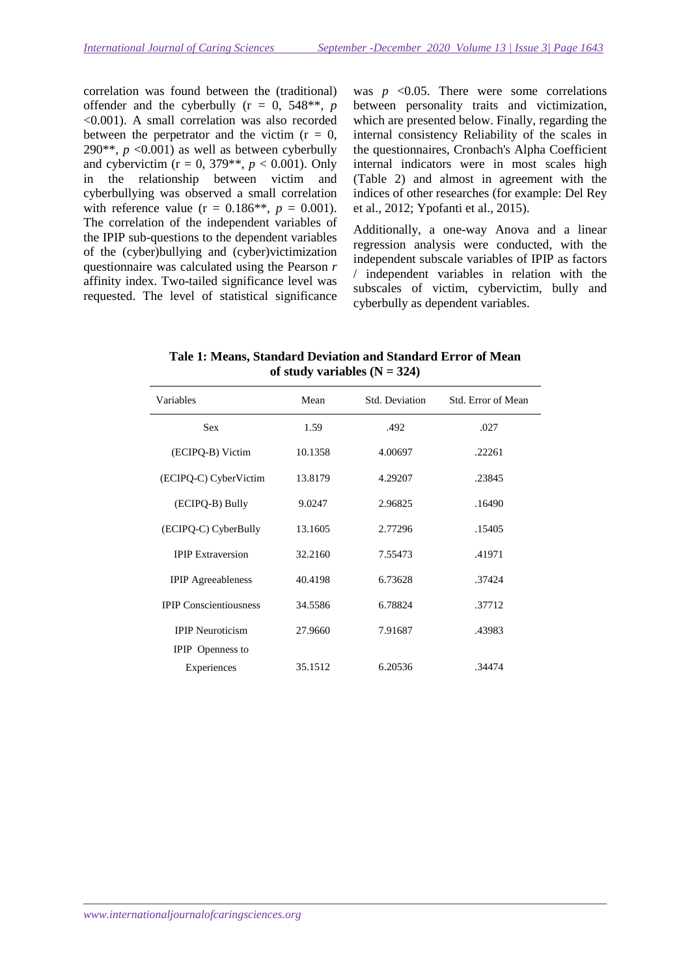correlation was found between the (traditional) offender and the cyberbully  $(r = 0, 548^{**}, p)$ <0.001). A small correlation was also recorded between the perpetrator and the victim  $(r = 0,$ 290<sup>\*\*</sup>,  $p \le 0.001$ ) as well as between cyberbully and cybervictim ( $r = 0$ , 379<sup>\*\*</sup>,  $p < 0.001$ ). Only in the relationship between victim and cyberbullying was observed a small correlation with reference value ( $r = 0.186$ <sup>\*\*</sup>,  $p = 0.001$ ). The correlation of the independent variables of the IPIP sub-questions to the dependent variables of the (cyber)bullying and (cyber)victimization questionnaire was calculated using the Pearson *r* affinity index. Two-tailed significance level was requested. The level of statistical significance

was  $p \leq 0.05$ . There were some correlations between personality traits and victimization, which are presented below. Finally, regarding the internal consistency Reliability of the scales in the questionnaires, Cronbach's Alpha Coefficient internal indicators were in most scales high (Table 2) and almost in agreement with the indices of other researches (for example: Del Rey et al., 2012; Ypofanti et al., 2015).

Additionally, a one-way Anova and a linear regression analysis were conducted, with the independent subscale variables of IPIP as factors / independent variables in relation with the subscales of victim, cybervictim, bully and cyberbully as dependent variables.

| Variables                     | Mean    | Std. Deviation | Std. Error of Mean |
|-------------------------------|---------|----------------|--------------------|
| <b>Sex</b>                    | 1.59    | .492           | .027               |
| (ECIPQ-B) Victim              | 10.1358 | 4.00697        | .22261             |
| (ECIPQ-C) CyberVictim         | 13.8179 | 4.29207        | .23845             |
| (ECIPQ-B) Bully               | 9.0247  | 2.96825        | .16490             |
| (ECIPQ-C) CyberBully          | 13.1605 | 2.77296        | .15405             |
| <b>IPIP</b> Extraversion      | 32.2160 | 7.55473        | .41971             |
| <b>IPIP</b> Agreeableness     | 40.4198 | 6.73628        | .37424             |
| <b>IPIP Conscientiousness</b> | 34.5586 | 6.78824        | .37712             |
| <b>IPIP</b> Neuroticism       | 27.9660 | 7.91687        | .43983             |
| <b>IPIP</b> Openness to       |         |                |                    |
| Experiences                   | 35.1512 | 6.20536        | .34474             |

**Tale 1: Means, Standard Deviation and Standard Error of Mean**  of study variables  $(N = 324)$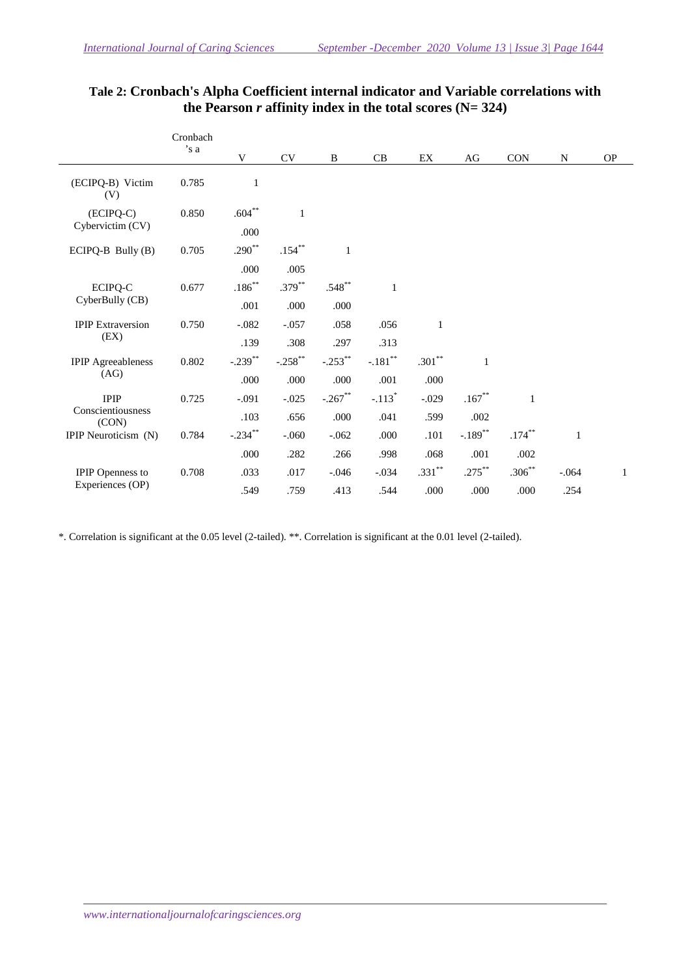|                                             | Cronbach |            |              |              |              |              |                       |           |              |   |
|---------------------------------------------|----------|------------|--------------|--------------|--------------|--------------|-----------------------|-----------|--------------|---|
| 's a                                        | V        | CV         | $\, {\bf B}$ | CB           | EX           | AG           | CON                   | N         | <b>OP</b>    |   |
| (ECIPQ-B) Victim<br>(V)                     | 0.785    | 1          |              |              |              |              |                       |           |              |   |
| $(ECIPQ-C)$<br>Cybervictim (CV)             | 0.850    | $.604**$   | $\mathbf{1}$ |              |              |              |                       |           |              |   |
|                                             |          | .000       |              |              |              |              |                       |           |              |   |
| ECIPQ-B Bully (B)                           | 0.705    | $.290**$   | $.154***$    | $\mathbf{1}$ |              |              |                       |           |              |   |
|                                             |          | .000       | .005         |              |              |              |                       |           |              |   |
| ECIPQ-C<br>CyberBully (CB)                  | 0.677    | $.186***$  | $.379***$    | $.548^{**}$  | $\mathbf{1}$ |              |                       |           |              |   |
|                                             |          | .001       | .000         | .000         |              |              |                       |           |              |   |
| <b>IPIP</b> Extraversion<br>(EX)            | 0.750    | $-.082$    | $-.057$      | .058         | .056         | $\mathbf{1}$ |                       |           |              |   |
|                                             |          | .139       | .308         | .297         | .313         |              |                       |           |              |   |
| <b>IPIP</b> Agreeableness<br>(AG)           | 0.802    | $-.239$ ** | $-.258$ **   | $-.253$ **   | $-.181**$    | $.301***$    |                       |           |              |   |
|                                             |          | .000       | .000         | .000         | .001         | .000         |                       |           |              |   |
| <b>IPIP</b><br>Conscientiousness<br>(CON)   | 0.725    | $-.091$    | $-.025$      | $-.267**$    | $-.113*$     | $-.029$      | $.167***$             | 1         |              |   |
|                                             |          | .103       | .656         | .000         | .041         | .599         | .002                  |           |              |   |
| IPIP Neuroticism (N)                        | 0.784    | $-.234$ ** | $-.060$      | $-.062$      | .000         | .101         | $-.189$ <sup>**</sup> | $.174***$ | $\mathbf{1}$ |   |
|                                             |          | .000       | .282         | .266         | .998         | .068         | .001                  | .002      |              |   |
| <b>IPIP</b> Openness to<br>Experiences (OP) | 0.708    | .033       | .017         | $-.046$      | $-.034$      | $.331***$    | $.275***$             | $.306***$ | $-.064$      | 1 |
|                                             |          | .549       | .759         | .413         | .544         | .000         | .000                  | .000      | .254         |   |

# **Tale 2: Cronbach's Alpha Coefficient internal indicator and Variable correlations with**  the Pearson  $r$  affinity index in the total scores ( $N = 324$ )

\*. Correlation is significant at the 0.05 level (2-tailed). \*\*. Correlation is significant at the 0.01 level (2-tailed).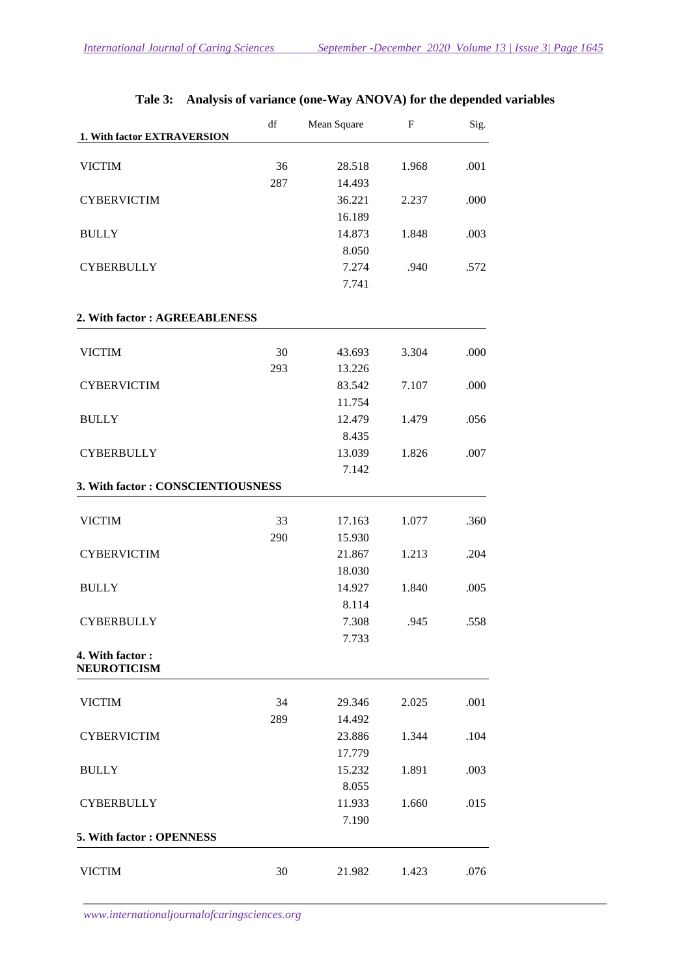|                                       | df  | Mean Square | F     | Sig. |  |
|---------------------------------------|-----|-------------|-------|------|--|
| 1. With factor EXTRAVERSION           |     |             |       |      |  |
| <b>VICTIM</b>                         | 36  | 28.518      | 1.968 | .001 |  |
|                                       | 287 | 14.493      |       |      |  |
| <b>CYBERVICTIM</b>                    |     | 36.221      | 2.237 | .000 |  |
|                                       |     | 16.189      |       |      |  |
| <b>BULLY</b>                          |     | 14.873      | 1.848 | .003 |  |
|                                       |     | 8.050       |       |      |  |
| <b>CYBERBULLY</b>                     |     | 7.274       | .940  | .572 |  |
|                                       |     | 7.741       |       |      |  |
| 2. With factor: AGREEABLENESS         |     |             |       |      |  |
| <b>VICTIM</b>                         | 30  | 43.693      | 3.304 | .000 |  |
|                                       | 293 | 13.226      |       |      |  |
| <b>CYBERVICTIM</b>                    |     | 83.542      | 7.107 | .000 |  |
|                                       |     | 11.754      |       |      |  |
|                                       |     | 12.479      | 1.479 |      |  |
| <b>BULLY</b>                          |     | 8.435       |       | .056 |  |
|                                       |     | 13.039      |       |      |  |
| <b>CYBERBULLY</b>                     |     | 7.142       | 1.826 | .007 |  |
| 3. With factor: CONSCIENTIOUSNESS     |     |             |       |      |  |
|                                       |     |             |       |      |  |
| <b>VICTIM</b>                         | 33  | 17.163      | 1.077 | .360 |  |
|                                       | 290 | 15.930      |       |      |  |
| <b>CYBERVICTIM</b>                    |     | 21.867      | 1.213 | .204 |  |
|                                       |     | 18.030      |       |      |  |
| <b>BULLY</b>                          |     | 14.927      | 1.840 | .005 |  |
|                                       |     | 8.114       |       |      |  |
| <b>CYBERBULLY</b>                     |     | 7.308       | .945  | .558 |  |
|                                       |     | 7.733       |       |      |  |
| 4. With factor:<br><b>NEUROTICISM</b> |     |             |       |      |  |
| <b>VICTIM</b>                         | 34  | 29.346      | 2.025 | .001 |  |
|                                       | 289 | 14.492      |       |      |  |
| <b>CYBERVICTIM</b>                    |     | 23.886      | 1.344 | .104 |  |
|                                       |     | 17.779      |       |      |  |
| <b>BULLY</b>                          |     | 15.232      | 1.891 | .003 |  |
|                                       |     | 8.055       |       |      |  |
| <b>CYBERBULLY</b>                     |     | 11.933      | 1.660 | .015 |  |
|                                       |     | 7.190       |       |      |  |
| 5. With factor: OPENNESS              |     |             |       |      |  |
|                                       |     |             |       |      |  |
| <b>VICTIM</b>                         | 30  | 21.982      | 1.423 | .076 |  |

# **Tale 3: Analysis of variance (one-Way ANOVA) for the depended variables**

*www.internationaljournalofcaringsciences.org*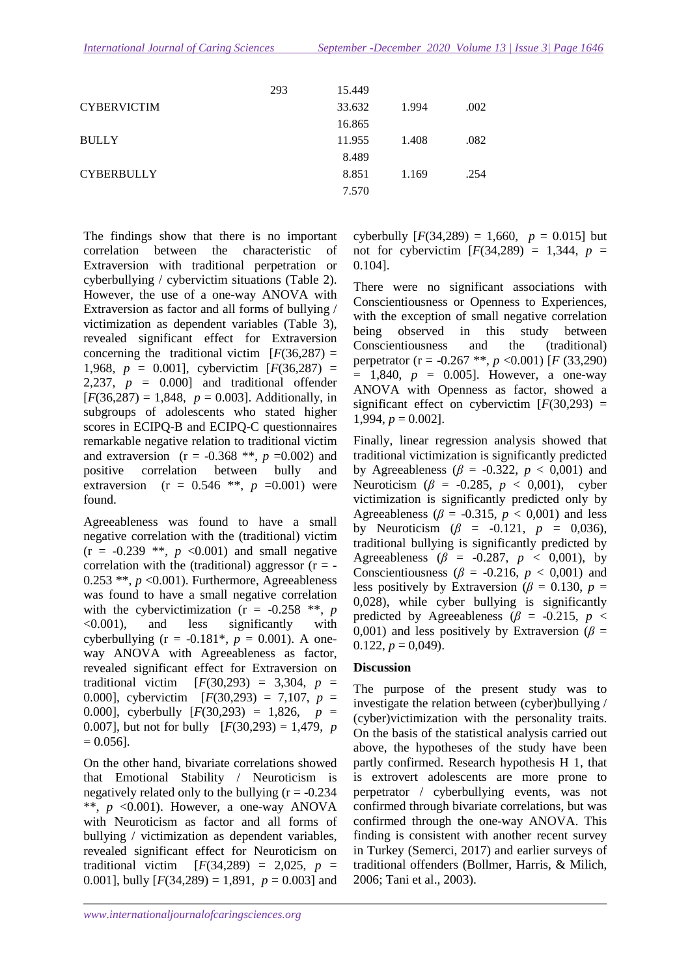|                    | 293 | 15.449 |       |      |
|--------------------|-----|--------|-------|------|
| <b>CYBERVICTIM</b> |     | 33.632 | 1.994 | .002 |
|                    |     | 16.865 |       |      |
| <b>BULLY</b>       |     | 11.955 | 1.408 | .082 |
|                    |     | 8.489  |       |      |
| <b>CYBERBULLY</b>  |     | 8.851  | 1.169 | .254 |
|                    |     | 7.570  |       |      |

The findings show that there is no important correlation between the characteristic of Extraversion with traditional perpetration or cyberbullying / cybervictim situations (Table 2). However, the use of a one-way ANOVA with Extraversion as factor and all forms of bullying / victimization as dependent variables (Table 3), revealed significant effect for Extraversion concerning the traditional victim  $[F(36, 287) =$ 1,968,  $p = 0.001$ ], cybervictim  $[F(36, 287) =$ 2,237,  $p = 0.000$  and traditional offender  $[F(36, 287) = 1,848, p = 0.003]$ . Additionally, in subgroups of adolescents who stated higher scores in ECIPQ-B and ECIPQ-C questionnaires remarkable negative relation to traditional victim and extraversion ( $r = -0.368$ <sup>\*\*</sup>,  $p = 0.002$ ) and positive correlation between bully and extraversion ( $r = 0.546$  \*\*,  $p = 0.001$ ) were found.

Agreeableness was found to have a small negative correlation with the (traditional) victim  $(r = -0.239$  \*\*,  $p \le 0.001$  and small negative correlation with the (traditional) aggressor ( $r = 0.253$  \*\*,  $p$  <0.001). Furthermore, Agreeableness was found to have a small negative correlation with the cybervictimization ( $r = -0.258$  \*\*, *p* <0.001), and less significantly with cyberbullying ( $r = -0.181^*$ ,  $p = 0.001$ ). A oneway ANOVA with Agreeableness as factor, revealed significant effect for Extraversion on traditional victim  $[F(30,293) = 3,304, p =$ 0.000], cybervictim [*F*(30,293) = 7,107, *p* = 0.000], cyberbully [*F*(30,293) = 1,826, *p* = 0.007], but not for bully [*F*(30,293) = 1,479, *p*  $= 0.056$ ].

On the other hand, bivariate correlations showed that Emotional Stability / Neuroticism is negatively related only to the bullying  $(r = -0.234)$ \*\*, *p* <0.001). However, a one-way ANOVA with Neuroticism as factor and all forms of bullying / victimization as dependent variables, revealed significant effect for Neuroticism on traditional victim  $[F(34,289) = 2,025, p =$ 0.001], bully  $[F(34,289) = 1,891, p = 0.003]$  and

*www.internationaljournalofcaringsciences.org*

cyberbully  $[F(34,289) = 1,660, p = 0.015]$  but not for cybervictim  $[F(34, 289) = 1,344, p =$ 0.104].

There were no significant associations with Conscientiousness or Openness to Experiences, with the exception of small negative correlation being observed in this study between Conscientiousness and the (traditional) perpetrator (r = -0.267 \*\*, *p* <0.001) [*F* (33,290)  $= 1,840, p = 0.005$ . However, a one-way ANOVA with Openness as factor, showed a significant effect on cybervictim  $[F(30,293) =$ 1,994,  $p = 0.002$ ].

Finally, linear regression analysis showed that traditional victimization is significantly predicted by Agreeableness ( $\beta$  = -0.322,  $p$  < 0,001) and Neuroticism (*β* = -0.285, *p* < 0,001), cyber victimization is significantly predicted only by Agreeableness ( $\beta$  = -0.315,  $p < 0.001$ ) and less by Neuroticism (*β* = -0.121, *p* = 0,036), traditional bullying is significantly predicted by Agreeableness ( $\beta$  = -0.287,  $p$  < 0,001), by Conscientiousness ( $\beta$  = -0.216,  $p < 0.001$ ) and less positively by Extraversion ( $\beta$  = 0.130,  $p$  = 0,028), while cyber bullying is significantly predicted by Agreeableness ( $\beta$  = -0.215, *p* < 0,001) and less positively by Extraversion ( $\beta$  =  $0.122, p = 0.049$ .

### **Discussion**

The purpose of the present study was to investigate the relation between (cyber)bullying / (cyber)victimization with the personality traits. On the basis of the statistical analysis carried out above, the hypotheses of the study have been partly confirmed. Research hypothesis H 1, that is extrovert adolescents are more prone to perpetrator / cyberbullying events, was not confirmed through bivariate correlations, but was confirmed through the one-way ANOVA. This finding is consistent with another recent survey in Turkey (Semerci, 2017) and earlier surveys of traditional offenders (Bollmer, Harris, & Milich, 2006; Tani et al., 2003).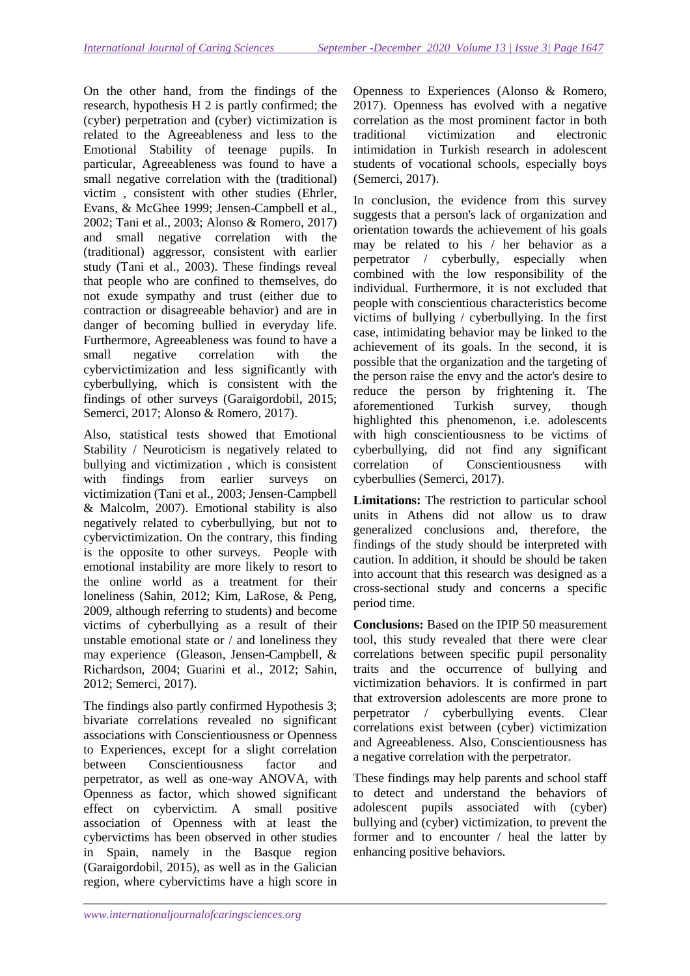On the other hand, from the findings of the research, hypothesis H 2 is partly confirmed; the (cyber) perpetration and (cyber) victimization is related to the Agreeableness and less to the Emotional Stability of teenage pupils. In particular, Agreeableness was found to have a small negative correlation with the (traditional) victim , consistent with other studies (Ehrler, Evans, & McGhee 1999; Jensen-Campbell et al., 2002; Tani et al., 2003; Alonso & Romero, 2017) and small negative correlation with the (traditional) aggressor, consistent with earlier study (Tani et al., 2003). These findings reveal that people who are confined to themselves, do not exude sympathy and trust (either due to contraction or disagreeable behavior) and are in danger of becoming bullied in everyday life. Furthermore, Agreeableness was found to have a small negative correlation with the cybervictimization and less significantly with cyberbullying, which is consistent with the findings of other surveys (Garaigordobil, 2015; Semerci, 2017; Alonso & Romero, 2017).

Also, statistical tests showed that Emotional Stability / Neuroticism is negatively related to bullying and victimization , which is consistent with findings from earlier surveys on victimization (Tani et al., 2003; Jensen-Campbell & Malcolm, 2007). Emotional stability is also negatively related to cyberbullying, but not to cybervictimization. On the contrary, this finding is the opposite to other surveys.People with emotional instability are more likely to resort to the online world as a treatment for their loneliness (Sahin, 2012; Kim, LaRose, & Peng, 2009, although referring to students) and become victims of cyberbullying as a result of their unstable emotional state or / and loneliness they may experience (Gleason, Jensen-Campbell, & Richardson, 2004; Guarini et al., 2012; Sahin, 2012; Semerci, 2017).

The findings also partly confirmed Hypothesis 3; bivariate correlations revealed no significant associations with Conscientiousness or Openness to Experiences, except for a slight correlation between Conscientiousness factor and perpetrator, as well as one-way ANOVA, with Openness as factor, which showed significant effect on cybervictim. A small positive association of Openness with at least the cybervictims has been observed in other studies in Spain, namely in the Basque region (Garaigordobil, 2015), as well as in the Galician region, where cybervictims have a high score in Openness to Experiences (Alonso & Romero, 2017). Openness has evolved with a negative correlation as the most prominent factor in both traditional victimization and electronic intimidation in Turkish research in adolescent students of vocational schools, especially boys (Semerci, 2017).

In conclusion, the evidence from this survey suggests that a person's lack of organization and orientation towards the achievement of his goals may be related to his / her behavior as a perpetrator / cyberbully, especially when combined with the low responsibility of the individual. Furthermore, it is not excluded that people with conscientious characteristics become victims of bullying / cyberbullying. In the first case, intimidating behavior may be linked to the achievement of its goals. In the second, it is possible that the organization and the targeting of the person raise the envy and the actor's desire to reduce the person by frightening it. The aforementioned Turkish survey, though highlighted this phenomenon, i.e. adolescents with high conscientiousness to be victims of cyberbullying, did not find any significant correlation of Conscientiousness with cyberbullies (Semerci, 2017).

**Limitations:** The restriction to particular school units in Athens did not allow us to draw generalized conclusions and, therefore, the findings of the study should be interpreted with caution. In addition, it should be should be taken into account that this research was designed as a cross-sectional study and concerns a specific period time.

**Conclusions:** Based on the IPIP 50 measurement tool, this study revealed that there were clear correlations between specific pupil personality traits and the occurrence of bullying and victimization behaviors. It is confirmed in part that extroversion adolescents are more prone to perpetrator / cyberbullying events. Clear correlations exist between (cyber) victimization and Agreeableness. Also, Conscientiousness has a negative correlation with the perpetrator.

These findings may help parents and school staff to detect and understand the behaviors of adolescent pupils associated with (cyber) bullying and (cyber) victimization, to prevent the former and to encounter / heal the latter by enhancing positive behaviors.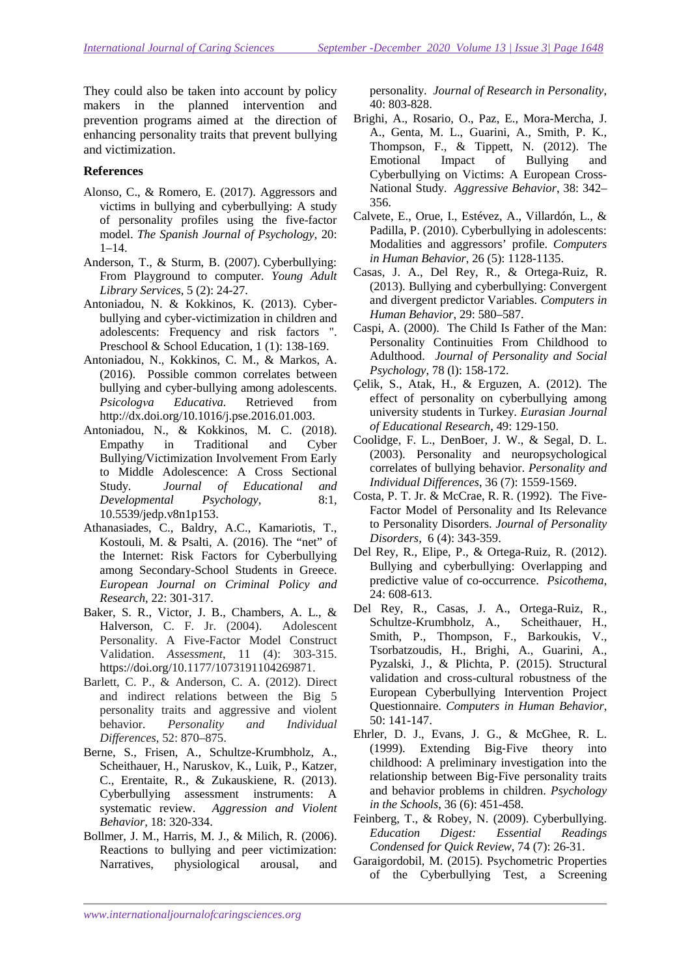They could also be taken into account by policy makers in the planned intervention and prevention programs aimed at the direction of enhancing personality traits that prevent bullying and victimization.

### **References**

- Alonso, C., & Romero, E. (2017). Aggressors and victims in bullying and cyberbullying: A study of personality profiles using the five-factor model. *The Spanish Journal of Psychology*, 20: 1–14.
- Anderson, T., & Sturm, B. (2007). Cyberbullying: From Playground to computer. *Young Adult Library Services,* 5 (2): 24-27.
- Antoniadou, N. & Kokkinos, K. (2013). Cyberbullying and cyber-victimization in children and adolescents: Frequency and risk factors ". Preschool & School Education, 1 (1): 138-169.
- Antoniadou, N., Kokkinos, C. Μ., & Markos, A. (2016). Possible common correlates between bullying and cyber-bullying among adolescents. *Psicologνa Educativa.* Retrieved from http://dx.doi.org/10.1016/j.pse.2016.01.003.
- Antoniadou, N., & Kokkinos, Μ. C. (2018). Empathy in Traditional and Cyber Bullying/Victimization Involvement From Early to Middle Adolescence: A Cross Sectional Study. *Journal of Educational and Developmental Psychology*, 8:1, 10.5539/jedp.v8n1p153.
- Athanasiades, C., Baldry, A.C., Kamariotis, T., Kostouli, M. & Psalti, Α. (2016). The "net" of the Internet: Risk Factors for Cyberbullying among Secondary-School Students in Greece. *European Journal on Criminal Policy and Research*, 22: 301-317.
- Baker, S. R., Victor, J. B., Chambers, A. L., & Halverson, C. F. Jr. (2004). Adolescent Personality. A Five-Factor Model Construct Validation. *Assessment*, 11 (4): 303-315. https://doi.org/10.1177/1073191104269871.
- Barlett, C. P., & Anderson, C. A. (2012). Direct and indirect relations between the Big 5 personality traits and aggressive and violent behavior. *Personality and Individual Differences*, 52: 870–875.
- Berne, S., Frisen, A., Schultze-Krumbholz, A., Scheithauer, H., Naruskov, K., Luik, P., Katzer, C., Erentaite, R., & Zukauskiene, R. (2013). Cyberbullying assessment instruments: A systematic review. *Aggression and Violent Behavior,* 18: 320-334.
- Bollmer, J. M., Harris, M. J., & Milich, R. (2006). Reactions to bullying and peer victimization: Narratives, physiological arousal, and

personality. *Journal of Research in Personality*, 40: 803-828.

- Brighi, A., Rosario, O., Paz, E., Mora-Mercha, J. A., Genta, M. L., Guarini, A., Smith, P. K., Thompson, F., & Tippett, N. (2012). The Emotional Impact of Bullying and Cyberbullying on Victims: A European Cross-National Study. *Aggressive Behavior*, 38: 342– 356.
- Calvete, E., Orue, I., Estévez, A., Villardón, L., & Padilla, P. (2010). Cyberbullying in adolescents: Modalities and aggressors' profile. *Computers in Human Behavior*, 26 (5): 1128-1135.
- Casas, J. A., Del Rey, R., & Ortega-Ruiz, R. (2013). Bullying and cyberbullying: Convergent and divergent predictor Variables. *Computers in Human Behavior*, 29: 580–587.
- Caspi, A. (2000). The Child Is Father of the Man: Personality Continuities From Childhood to Adulthood. *Journal of Personality and Social Psychology*, 78 (l): 158-172.
- Çelik, S., Atak, H., & Erguzen, A. (2012). The effect of personality on cyberbullying among university students in Turkey. *Eurasian Journal of Educational Research*, 49: 129-150.
- Coolidge, F. L., DenBoer, J. W., & Segal, D. L. (2003). Personality and neuropsychological correlates of bullying behavior. *Personality and Individual Differences*, 36 (7): 1559-1569.
- Costa, P. T. Jr. & McCrae, R. R. (1992). The Five-Factor Model of Personality and Its Relevance to Personality Disorders. *Journal of Personality Disorders*, 6 (4): 343-359.
- Del Rey, R., Elipe, P., & Ortega-Ruiz, R. (2012). Bullying and cyberbullying: Overlapping and predictive value of co-occurrence. *Psicothema*, 24: 608-613.
- Del Rey, R., Casas, J. A., Ortega-Ruiz, R., Schultze-Krumbholz, A., Scheithauer, H., Smith, P., Thompson, F., Barkoukis, V., Tsorbatzoudis, H., Brighi, A., Guarini, A., Pyzalski, J., & Plichta, P. (2015). Structural validation and cross-cultural robustness of the European Cyberbullying Intervention Project Questionnaire. *Computers in Human Behavior*, 50: 141-147.
- Ehrler, D. J., Evans, J. G., & McGhee, R. L. (1999). Extending Big‐Five theory into childhood: A preliminary investigation into the relationship between Big‐Five personality traits and behavior problems in children. *Psychology in the Schools*, 36 (6): 451-458.
- Feinberg, T., & Robey, N. (2009). Cyberbullying. *Education Digest: Essential Readings Condensed for Quick Review*, 74 (7): 26-31.
- Garaigordobil, M. (2015). Psychometric Properties of the Cyberbullying Test, a Screening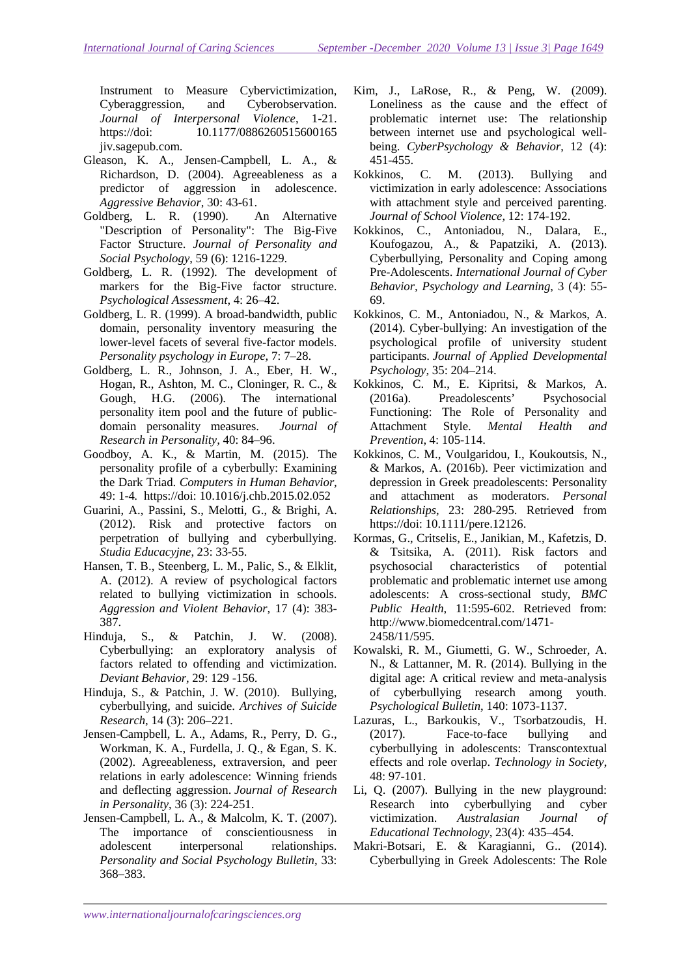Instrument to Measure Cybervictimization, Cyberaggression, and Cyberobservation. *Journal of Interpersonal Violence*, 1-21. https://doi: 10.1177/0886260515600165 jiv.sagepub.com.

- Gleason, K. A., Jensen-Campbell, L. A., & Richardson, D. (2004). Agreeableness as a predictor of aggression in adolescence. *Aggressive Behavior*, 30: 43-61.
- Goldberg, L. R. (1990). An Alternative "Description of Personality": The Big-Five Factor Structure. *Journal of Personality and Social Psychology*, 59 (6): 1216-1229.
- Goldberg, L. R. (1992). The development of markers for the Big-Five factor structure. *Psychological Assessment*, 4: 26–42.
- Goldberg, L. R. (1999). A broad-bandwidth, public domain, personality inventory measuring the lower-level facets of several five-factor models. *Personality psychology in Europe,* 7: 7–28.
- Goldberg, L. R., Johnson, J. A., Eber, H. W., Hogan, R., Ashton, M. C., Cloninger, R. C., & Gough, H.G. (2006). The international personality item pool and the future of publicdomain personality measures. *Journal of Research in Personality,* 40: 84–96.
- Goodboy, A. K., & Martin, M. (2015). The personality profile of a cyberbully: Examining the Dark Triad. *Computers in Human Behavior,*  49: 1-4*.* https://doi: 10.1016/j.chb.2015.02.052
- Guarini, A., Passini, S., Melotti, G., & Brighi, A. (2012). Risk and protective factors on perpetration of bullying and cyberbullying. *Studia Educacyjne*, 23: 33-55.
- Hansen, T. B., Steenberg, L. M., Palic, S., & Elklit, A. (2012). A review of psychological factors related to bullying victimization in schools. *Aggression and Violent Behavior,* 17 (4): 383- 387.
- Hinduja, S., & Patchin, J. W. (2008). Cyberbullying: an exploratory analysis of factors related to offending and victimization. *Deviant Behavior*, 29: 129 -156.
- Hinduja, S., & Patchin, J. W. (2010). Bullying, cyberbullying, and suicide. *Archives of Suicide Research*, 14 (3): 206–221.
- Jensen-Campbell, L. A., Adams, R., Perry, D. G., Workman, K. A., Furdella, J. Q., & Egan, S. K. (2002). Agreeableness, extraversion, and peer relations in early adolescence: Winning friends and deflecting aggression. *Journal of Research in Personality*, 36 (3): 224-251.
- Jensen-Campbell, L. A., & Malcolm, K. T. (2007). The importance of conscientiousness in adolescent interpersonal relationships. *Personality and Social Psychology Bulletin*, 33: 368–383.
- Kim, J., LaRose, R., & Peng, W. (2009). Loneliness as the cause and the effect of problematic internet use: The relationship between internet use and psychological wellbeing. *CyberPsychology & Behavior*, 12 (4): 451-455.
- Kokkinos, C. M. (2013). Bullying and victimization in early adolescence: Associations with attachment style and perceived parenting. *Journal of School Violence,* 12: 174-192.
- Kokkinos, C., Antoniadou, N., Dalara, E., Koufogazou, A., & Papatziki, A. (2013). Cyberbullying, Personality and Coping among Pre-Adolescents. *International Journal of Cyber Behavior, Psychology and Learning*, 3 (4): 55- 69.
- Kokkinos, C. M., Antoniadou, N., & Markos, A. (2014). Cyber-bullying: An investigation of the psychological profile of university student participants. *Journal of Applied Developmental Psychology,* 35: 204–214.
- Kokkinos, C. M., E. Kipritsi, & Markos, A. (2016a). Preadolescents' Psychosocial Functioning: The Role of Personality and Attachment Style. *Mental Health and Prevention*, 4: 105-114.
- Kokkinos, C. M., Voulgaridou, I., Koukoutsis, N., & Markos, A. (2016b). Peer victimization and depression in Greek preadolescents: Personality and attachment as moderators. *Personal Relationships*, 23: 280-295. Retrieved from https://doi: 10.1111/pere.12126.
- Kormas, G., Critselis, E., Janikian, M., Kafetzis, D. & Tsitsika, A. (2011). Risk factors and psychosocial characteristics of potential problematic and problematic internet use among adolescents: A cross-sectional study, *BMC Public Health*, 11:595-602. Retrieved from: http://www.biomedcentral.com/1471- 2458/11/595.
- Kowalski, R. M., Giumetti, G. W., Schroeder, A. N., & Lattanner, M. R. (2014). Bullying in the digital age: A critical review and meta-analysis of cyberbullying research among youth. *Psychological Bulletin*, 140: 1073-1137.
- Lazuras, L., Barkoukis, V., Tsorbatzoudis, H. (2017). Face-to-face bullying and cyberbullying in adolescents: Transcontextual effects and role overlap. *Technology in Society*, 48: 97-101.
- Li, Q. (2007). Bullying in the new playground: Research into cyberbullying and cyber victimization. *Australasian Journal of Educational Technology*, 23(4): 435–454.
- Makri-Botsari, E. & Karagianni, G.. (2014). Cyberbullying in Greek Adolescents: The Role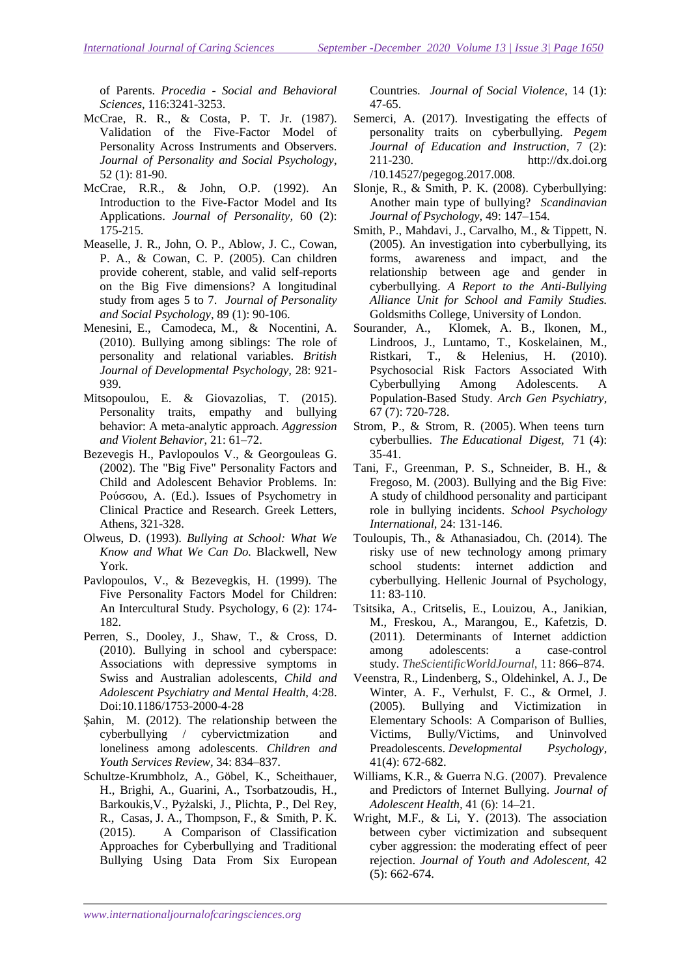of Parents. *Procedia - Social and Behavioral Sciences*, 116:3241-3253.

- McCrae, R. R., & Costa, P. T. Jr. (1987). Validation of the Five-Factor Model of Personality Across Instruments and Observers. *Journal of Personality and Social Psychology*, 52 (1): 81-90.
- McCrae, R.R., & John, O.P. (1992). An Introduction to the Five-Factor Model and Its Applications. *Journal of Personality,* 60 (2): 175-215.
- Measelle, J. R., John, O. P., Ablow, J. C., Cowan, P. A., & Cowan, C. P. (2005). Can children provide coherent, stable, and valid self-reports on the Big Five dimensions? A longitudinal study from ages 5 to 7. *Journal of Personality and Social Psychology*, 89 (1): 90-106.
- Menesini, E., Camodeca, M., & Nocentini, A. (2010). Bullying among siblings: The role of personality and relational variables. *British Journal of Developmental Psychology,* 28: 921- 939.
- Mitsopoulou, E. & Giovazolias, T. (2015). Personality traits, empathy and bullying behavior: A meta-analytic approach. *Aggression and Violent Behavior*, 21: 61–72.
- Bezevegis H., Pavlopoulos V., & Georgouleas G. (2002). The "Big Five" Personality Factors and Child and Adolescent Behavior Problems. In: Ρούσσου, Α. (Ed.). Issues of Psychometry in Clinical Practice and Research. Greek Letters, Athens, 321-328.
- Olweus, D. (1993). *Bullying at School: What We Know and What We Can Do.* Blackwell, New York.
- Pavlopoulos, V., & Bezevegkis, H. (1999). The Five Personality Factors Model for Children: An Intercultural Study. Psychology, 6 (2): 174- 182.
- Perren, S., Dooley, J., Shaw, T., & Cross, D. (2010). Bullying in school and cyberspace: Associations with depressive symptoms in Swiss and Australian adolescents, *Child and Adolescent Psychiatry and Mental Health*, 4:28. Doi:10.1186/1753-2000-4-28
- Şahin, M. (2012). The relationship between the cyberbullying / cybervictmization and loneliness among adolescents. *Children and Youth Services Review,* 34: 834–837.
- Schultze-Krumbholz, A., Göbel, K., Scheithauer, H., Brighi, A., Guarini, A., Tsorbatzoudis, H., Barkoukis,V., Pyżalski, J., Plichta, P., Del Rey, R., Casas, J. A., Thompson, F., & Smith, P. K. (2015). A Comparison of Classification Approaches for Cyberbullying and Traditional Bullying Using Data From Six European

Countries. *Journal of Social Violence*, 14 (1): 47-65.

- Semerci, A. (2017). Investigating the effects of personality traits on cyberbullying. *Pegem Journal of Education and Instruction,* 7 (2): 211-230. http://dx.doi.org /10.14527/pegegog.2017.008.
- Slonie, R., & Smith, P. K. (2008). Cyberbullying: Another main type of bullying? *Scandinavian Journal of Psychology*, 49: 147–154.
- Smith, P., Mahdavi, J., Carvalho, M., & Tippett, N. (2005). An investigation into cyberbullying, its forms, awareness and impact, and the relationship between age and gender in cyberbullying. *A Report to the Anti-Bullying Alliance Unit for School and Family Studies.* Goldsmiths College, University of London.
- Sourander, A., Klomek, A. B., Ikonen, M., Lindroos, J., Luntamo, T., Koskelainen, M., Ristkari, T., & Helenius, H. (2010). Psychosocial Risk Factors Associated With Cyberbullying Among Adolescents. A Population-Based Study. *Arch Gen Psychiatry,*  67 (7): 720-728.
- Strom, P., & Strom, R. (2005). When teens turn cyberbullies. *The Educational Digest,* 71 (4): 35-41.
- Tani, F., Greenman, P. S., Schneider, B. H., & Fregoso, M. (2003). Bullying and the Big Five: A study of childhood personality and participant role in bullying incidents. *School Psychology International*, 24: 131-146.
- Touloupis, Th., & Athanasiadou, Ch. (2014). The risky use of new technology among primary school students: internet addiction and cyberbullying. Hellenic Journal of Psychology, 11: 83-110.
- Tsitsika, A., Critselis, E., Louizou, A., Janikian, M., Freskou, A., Marangou, E., Kafetzis, D. (2011). Determinants of Internet addiction among adolescents: a case-control study. *TheScientificWorldJournal*, 11: 866–874.
- Veenstra, R., Lindenberg, S., Oldehinkel, A. J., De Winter, A. F., Verhulst, F. C., & Ormel, J. (2005). Bullying and Victimization in Elementary Schools: A Comparison of Bullies, Victims, Bully/Victims, and Uninvolved Preadolescents. *Developmental Psychology,*  41(4): 672-682.
- Williams, K.R., & Guerra N.G. (2007). Prevalence and Predictors of Internet Bullying. *Journal of Adolescent Health,* 41 (6): 14–21.
- Wright, M.F., & Li, Y. (2013). The association between cyber victimization and subsequent cyber aggression: the moderating effect of peer rejection. *Journal of Youth and Adolescent*, 42 (5): 662-674.